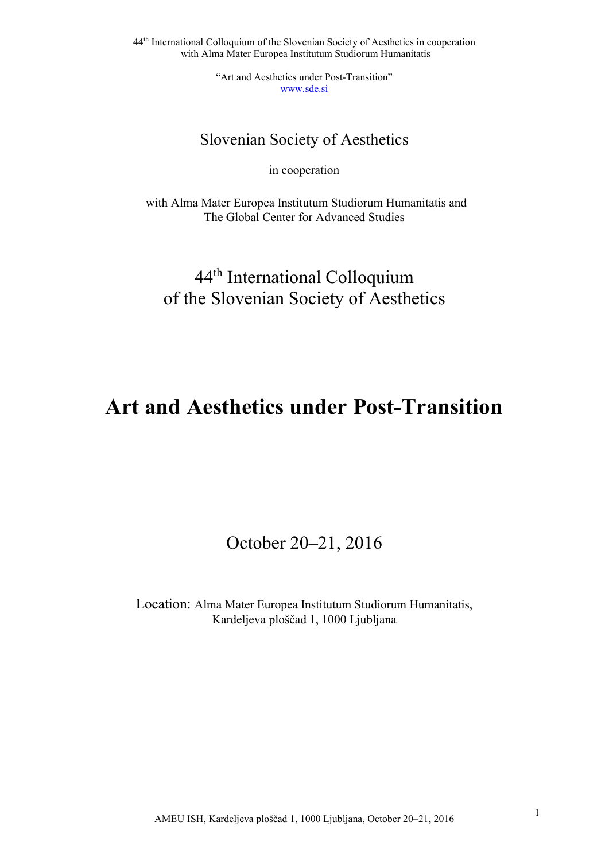44th International Colloquium of the Slovenian Society of Aesthetics in cooperation with Alma Mater Europea Institutum Studiorum Humanitatis

> "Art and Aesthetics under Post-Transition" www.sde.si

# Slovenian Society of Aesthetics

in cooperation

with Alma Mater Europea Institutum Studiorum Humanitatis and The Global Center for Advanced Studies

# 44th International Colloquium of the Slovenian Society of Aesthetics

# Art and Aesthetics under Post-Transition

October 20–21, 2016

Location: Alma Mater Europea Institutum Studiorum Humanitatis, Kardeljeva ploščad 1, 1000 Ljubljana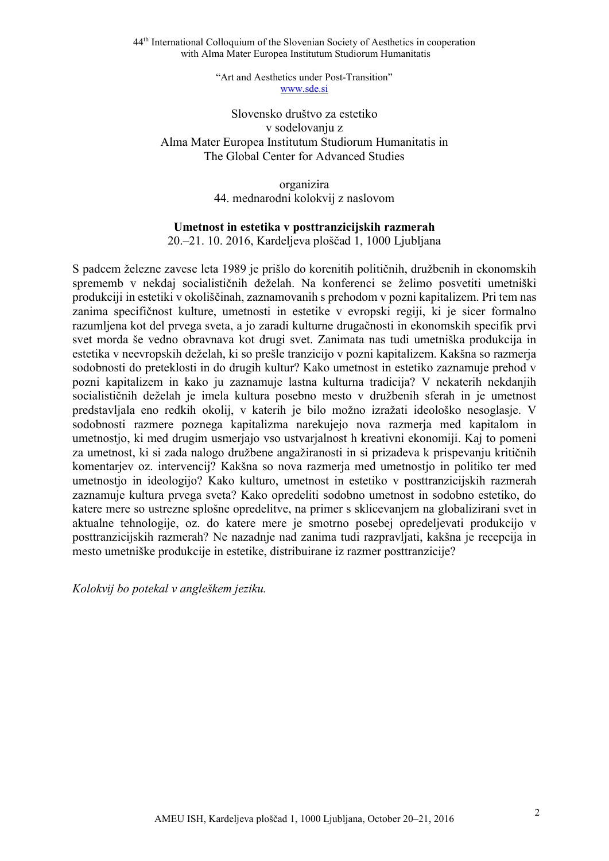44th International Colloquium of the Slovenian Society of Aesthetics in cooperation with Alma Mater Europea Institutum Studiorum Humanitatis

> "Art and Aesthetics under Post-Transition" www.sde.si

Slovensko društvo za estetiko v sodelovanju z Alma Mater Europea Institutum Studiorum Humanitatis in The Global Center for Advanced Studies

> organizira 44. mednarodni kolokvij z naslovom

Umetnost in estetika v posttranzicijskih razmerah 20.–21. 10. 2016, Kardeljeva ploščad 1, 1000 Ljubljana

S padcem železne zavese leta 1989 je prišlo do korenitih političnih, družbenih in ekonomskih sprememb v nekdaj socialističnih deželah. Na konferenci se želimo posvetiti umetniški produkciji in estetiki v okoliščinah, zaznamovanih s prehodom v pozni kapitalizem. Pri tem nas zanima specifičnost kulture, umetnosti in estetike v evropski regiji, ki je sicer formalno razumljena kot del prvega sveta, a jo zaradi kulturne drugačnosti in ekonomskih specifik prvi svet morda še vedno obravnava kot drugi svet. Zanimata nas tudi umetniška produkcija in estetika v neevropskih deželah, ki so prešle tranzicijo v pozni kapitalizem. Kakšna so razmerja sodobnosti do preteklosti in do drugih kultur? Kako umetnost in estetiko zaznamuje prehod v pozni kapitalizem in kako ju zaznamuje lastna kulturna tradicija? V nekaterih nekdanjih socialističnih deželah je imela kultura posebno mesto v družbenih sferah in je umetnost predstavljala eno redkih okolij, v katerih je bilo možno izražati ideološko nesoglasje. V sodobnosti razmere poznega kapitalizma narekujejo nova razmerja med kapitalom in umetnostjo, ki med drugim usmerjajo vso ustvarjalnost h kreativni ekonomiji. Kaj to pomeni za umetnost, ki si zada nalogo družbene angažiranosti in si prizadeva k prispevanju kritičnih komentarjev oz. intervencij? Kakšna so nova razmerja med umetnostjo in politiko ter med umetnostjo in ideologijo? Kako kulturo, umetnost in estetiko v posttranzicijskih razmerah zaznamuje kultura prvega sveta? Kako opredeliti sodobno umetnost in sodobno estetiko, do katere mere so ustrezne splošne opredelitve, na primer s sklicevanjem na globalizirani svet in aktualne tehnologije, oz. do katere mere je smotrno posebej opredeljevati produkcijo v posttranzicijskih razmerah? Ne nazadnje nad zanima tudi razpravljati, kakšna je recepcija in mesto umetniške produkcije in estetike, distribuirane iz razmer posttranzicije?

Kolokvij bo potekal v angleškem jeziku.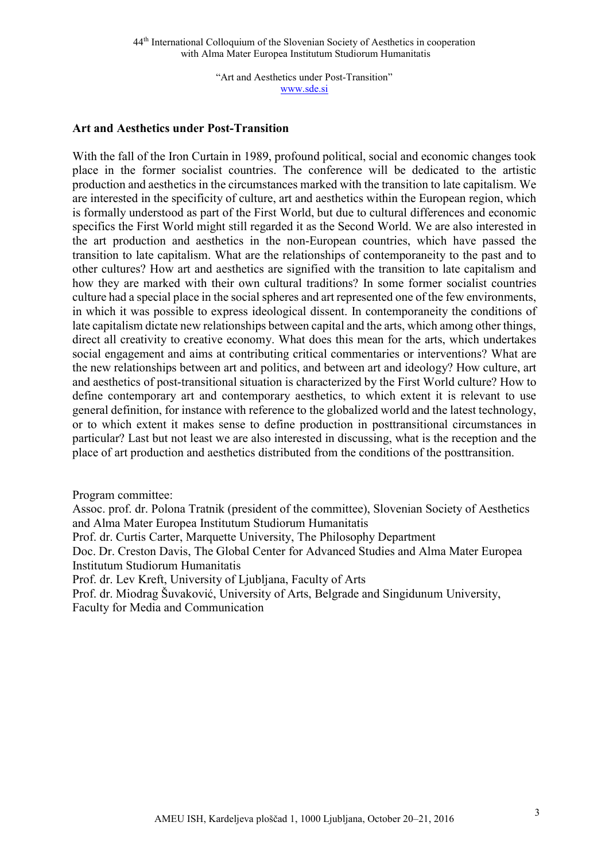#### Art and Aesthetics under Post-Transition

With the fall of the Iron Curtain in 1989, profound political, social and economic changes took place in the former socialist countries. The conference will be dedicated to the artistic production and aesthetics in the circumstances marked with the transition to late capitalism. We are interested in the specificity of culture, art and aesthetics within the European region, which is formally understood as part of the First World, but due to cultural differences and economic specifics the First World might still regarded it as the Second World. We are also interested in the art production and aesthetics in the non-European countries, which have passed the transition to late capitalism. What are the relationships of contemporaneity to the past and to other cultures? How art and aesthetics are signified with the transition to late capitalism and how they are marked with their own cultural traditions? In some former socialist countries culture had a special place in the social spheres and art represented one of the few environments, in which it was possible to express ideological dissent. In contemporaneity the conditions of late capitalism dictate new relationships between capital and the arts, which among other things, direct all creativity to creative economy. What does this mean for the arts, which undertakes social engagement and aims at contributing critical commentaries or interventions? What are the new relationships between art and politics, and between art and ideology? How culture, art and aesthetics of post-transitional situation is characterized by the First World culture? How to define contemporary art and contemporary aesthetics, to which extent it is relevant to use general definition, for instance with reference to the globalized world and the latest technology, or to which extent it makes sense to define production in posttransitional circumstances in particular? Last but not least we are also interested in discussing, what is the reception and the place of art production and aesthetics distributed from the conditions of the posttransition.

Program committee:

Assoc. prof. dr. Polona Tratnik (president of the committee), Slovenian Society of Aesthetics and Alma Mater Europea Institutum Studiorum Humanitatis Prof. dr. Curtis Carter, Marquette University, The Philosophy Department

Doc. Dr. Creston Davis, The Global Center for Advanced Studies and Alma Mater Europea Institutum Studiorum Humanitatis

Prof. dr. Lev Kreft, University of Ljubljana, Faculty of Arts

Prof. dr. Miodrag Šuvaković, University of Arts, Belgrade and Singidunum University, Faculty for Media and Communication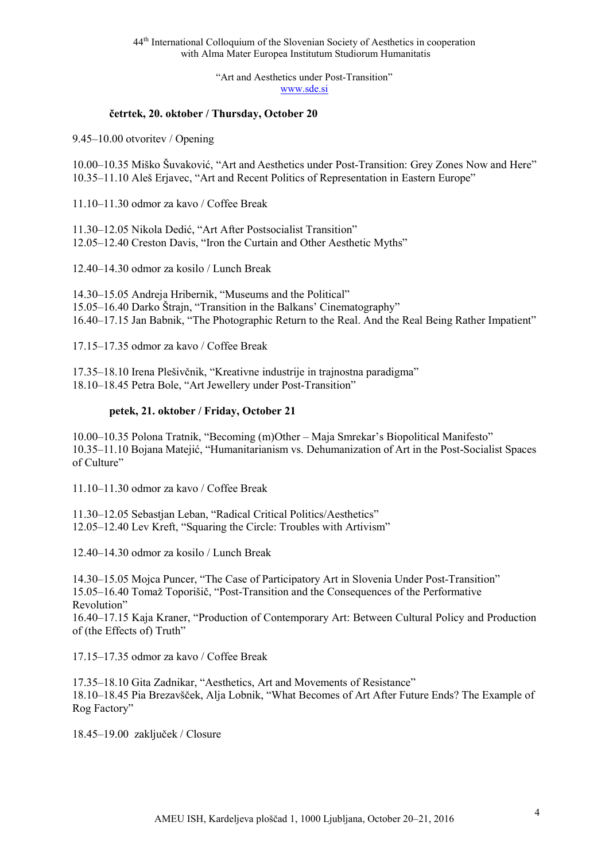44th International Colloquium of the Slovenian Society of Aesthetics in cooperation with Alma Mater Europea Institutum Studiorum Humanitatis

> "Art and Aesthetics under Post-Transition" www.sde.si

#### četrtek, 20. oktober / Thursday, October 20

9.45–10.00 otvoritev / Opening

10.00–10.35 Miško Šuvaković, "Art and Aesthetics under Post-Transition: Grey Zones Now and Here" 10.35–11.10 Aleš Erjavec, "Art and Recent Politics of Representation in Eastern Europe"

11.10–11.30 odmor za kavo / Coffee Break

11.30–12.05 Nikola Dedić, "Art After Postsocialist Transition" 12.05–12.40 Creston Davis, "Iron the Curtain and Other Aesthetic Myths"

12.40–14.30 odmor za kosilo / Lunch Break

14.30–15.05 Andreja Hribernik, "Museums and the Political" 15.05–16.40 Darko Štrajn, "Transition in the Balkans' Cinematography" 16.40–17.15 Jan Babnik, "The Photographic Return to the Real. And the Real Being Rather Impatient"

17.15–17.35 odmor za kavo / Coffee Break

17.35–18.10 Irena Plešivčnik, "Kreativne industrije in trajnostna paradigma" 18.10–18.45 Petra Bole, "Art Jewellery under Post-Transition"

#### petek, 21. oktober / Friday, October 21

10.00–10.35 Polona Tratnik, "Becoming (m)Other – Maja Smrekar's Biopolitical Manifesto" 10.35–11.10 Bojana Matejić, "Humanitarianism vs. Dehumanization of Art in the Post-Socialist Spaces of Culture"

11.10–11.30 odmor za kavo / Coffee Break

11.30–12.05 Sebastjan Leban, "Radical Critical Politics/Aesthetics" 12.05–12.40 Lev Kreft, "Squaring the Circle: Troubles with Artivism"

12.40–14.30 odmor za kosilo / Lunch Break

14.30–15.05 Mojca Puncer, "The Case of Participatory Art in Slovenia Under Post-Transition" 15.05–16.40 Tomaž Toporišič, "Post-Transition and the Consequences of the Performative Revolution"

16.40–17.15 Kaja Kraner, "Production of Contemporary Art: Between Cultural Policy and Production of (the Effects of) Truth"

17.15–17.35 odmor za kavo / Coffee Break

17.35–18.10 Gita Zadnikar, "Aesthetics, Art and Movements of Resistance" 18.10–18.45 Pia Brezavšček, Alja Lobnik, "What Becomes of Art After Future Ends? The Example of Rog Factory"

18.45–19.00 zaključek / Closure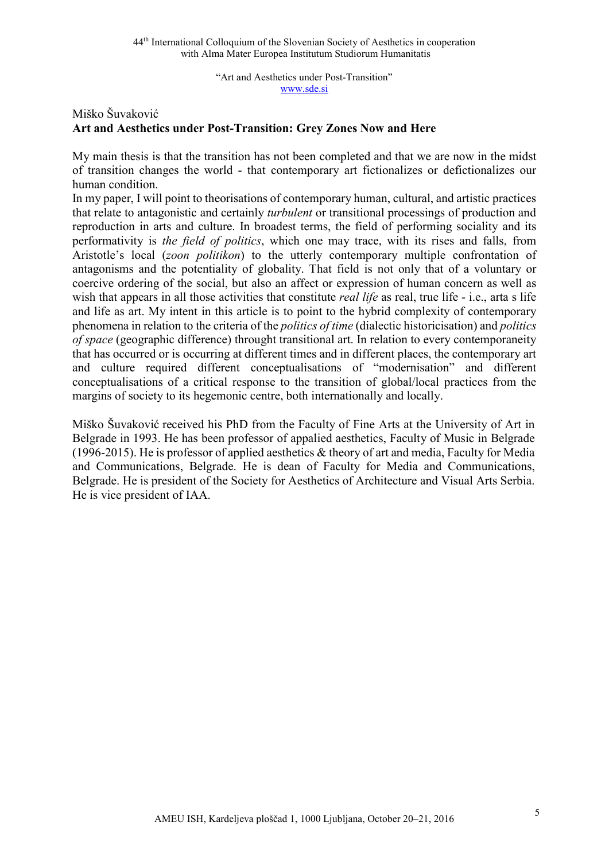# Miško Šuvaković Art and Aesthetics under Post-Transition: Grey Zones Now and Here

My main thesis is that the transition has not been completed and that we are now in the midst of transition changes the world - that contemporary art fictionalizes or defictionalizes our human condition.

In my paper, I will point to theorisations of contemporary human, cultural, and artistic practices that relate to antagonistic and certainly turbulent or transitional processings of production and reproduction in arts and culture. In broadest terms, the field of performing sociality and its performativity is the field of politics, which one may trace, with its rises and falls, from Aristotle's local (zoon politikon) to the utterly contemporary multiple confrontation of antagonisms and the potentiality of globality. That field is not only that of a voluntary or coercive ordering of the social, but also an affect or expression of human concern as well as wish that appears in all those activities that constitute *real life* as real, true life - i.e., arta s life and life as art. My intent in this article is to point to the hybrid complexity of contemporary phenomena in relation to the criteria of the politics of time (dialectic historicisation) and politics of space (geographic difference) throught transitional art. In relation to every contemporaneity that has occurred or is occurring at different times and in different places, the contemporary art and culture required different conceptualisations of "modernisation" and different conceptualisations of a critical response to the transition of global/local practices from the margins of society to its hegemonic centre, both internationally and locally.

Miško Šuvaković received his PhD from the Faculty of Fine Arts at the University of Art in Belgrade in 1993. He has been professor of appalied aesthetics, Faculty of Music in Belgrade (1996-2015). He is professor of applied aesthetics & theory of art and media, Faculty for Media and Communications, Belgrade. He is dean of Faculty for Media and Communications, Belgrade. He is president of the Society for Aesthetics of Architecture and Visual Arts Serbia. He is vice president of IAA.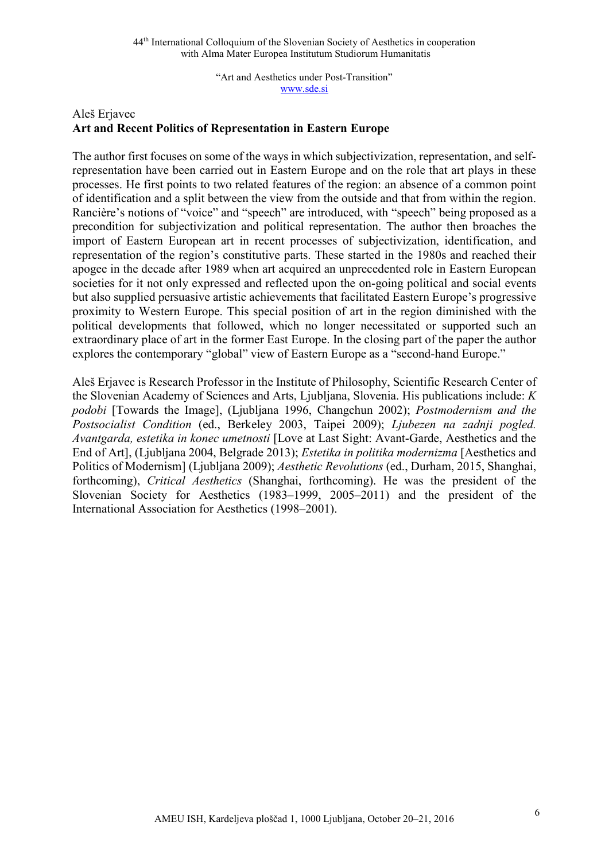## Aleš Erjavec Art and Recent Politics of Representation in Eastern Europe

The author first focuses on some of the ways in which subjectivization, representation, and selfrepresentation have been carried out in Eastern Europe and on the role that art plays in these processes. He first points to two related features of the region: an absence of a common point of identification and a split between the view from the outside and that from within the region. Rancière's notions of "voice" and "speech" are introduced, with "speech" being proposed as a precondition for subjectivization and political representation. The author then broaches the import of Eastern European art in recent processes of subjectivization, identification, and representation of the region's constitutive parts. These started in the 1980s and reached their apogee in the decade after 1989 when art acquired an unprecedented role in Eastern European societies for it not only expressed and reflected upon the on-going political and social events but also supplied persuasive artistic achievements that facilitated Eastern Europe's progressive proximity to Western Europe. This special position of art in the region diminished with the political developments that followed, which no longer necessitated or supported such an extraordinary place of art in the former East Europe. In the closing part of the paper the author explores the contemporary "global" view of Eastern Europe as a "second-hand Europe."

Aleš Erjavec is Research Professor in the Institute of Philosophy, Scientific Research Center of the Slovenian Academy of Sciences and Arts, Ljubljana, Slovenia. His publications include: K podobi [Towards the Image], (Ljubljana 1996, Changchun 2002); Postmodernism and the Postsocialist Condition (ed., Berkeley 2003, Taipei 2009); Ljubezen na zadnji pogled. Avantgarda, estetika in konec umetnosti [Love at Last Sight: Avant-Garde, Aesthetics and the End of Art], (Ljubljana 2004, Belgrade 2013); Estetika in politika modernizma [Aesthetics and Politics of Modernism] (Ljubljana 2009); Aesthetic Revolutions (ed., Durham, 2015, Shanghai, forthcoming), Critical Aesthetics (Shanghai, forthcoming). He was the president of the Slovenian Society for Aesthetics (1983–1999, 2005–2011) and the president of the International Association for Aesthetics (1998–2001).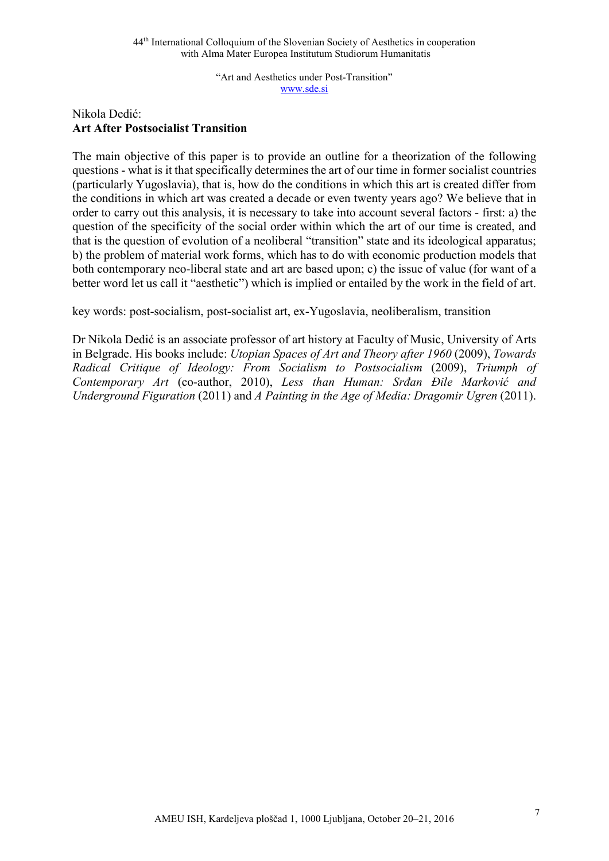#### Nikola Dedić: Art After Postsocialist Transition

The main objective of this paper is to provide an outline for a theorization of the following questions - what is it that specifically determines the art of our time in former socialist countries (particularly Yugoslavia), that is, how do the conditions in which this art is created differ from the conditions in which art was created a decade or even twenty years ago? We believe that in order to carry out this analysis, it is necessary to take into account several factors - first: a) the question of the specificity of the social order within which the art of our time is created, and that is the question of evolution of a neoliberal "transition" state and its ideological apparatus; b) the problem of material work forms, which has to do with economic production models that both contemporary neo-liberal state and art are based upon; c) the issue of value (for want of a better word let us call it "aesthetic") which is implied or entailed by the work in the field of art.

key words: post-socialism, post-socialist art, ex-Yugoslavia, neoliberalism, transition

Dr Nikola Dedić is an associate professor of art history at Faculty of Music, University of Arts in Belgrade. His books include: Utopian Spaces of Art and Theory after 1960 (2009), Towards Radical Critique of Ideology: From Socialism to Postsocialism (2009), Triumph of Contemporary Art (co-author, 2010), Less than Human: Srđan Đile Marković and Underground Figuration (2011) and A Painting in the Age of Media: Dragomir Ugren (2011).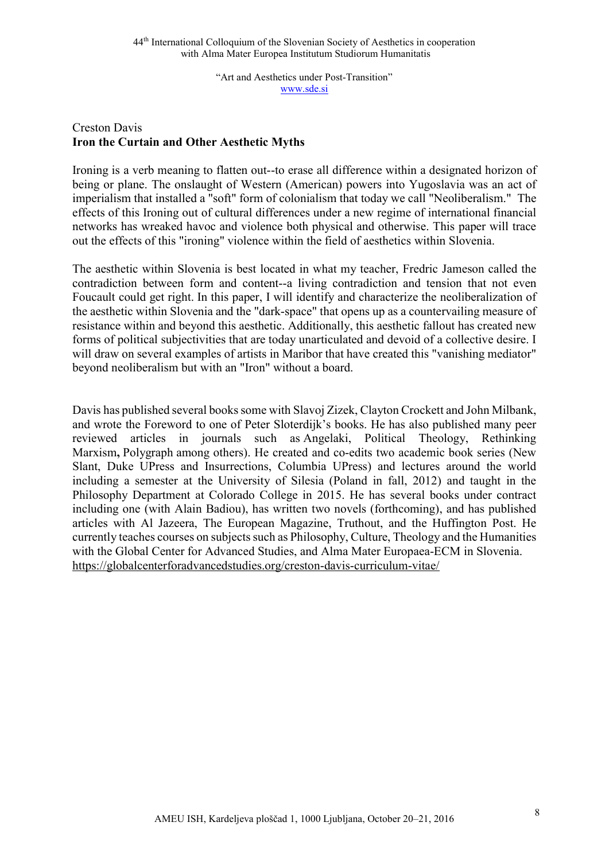## Creston Davis Iron the Curtain and Other Aesthetic Myths

Ironing is a verb meaning to flatten out--to erase all difference within a designated horizon of being or plane. The onslaught of Western (American) powers into Yugoslavia was an act of imperialism that installed a "soft" form of colonialism that today we call "Neoliberalism." The effects of this Ironing out of cultural differences under a new regime of international financial networks has wreaked havoc and violence both physical and otherwise. This paper will trace out the effects of this "ironing" violence within the field of aesthetics within Slovenia.

The aesthetic within Slovenia is best located in what my teacher, Fredric Jameson called the contradiction between form and content--a living contradiction and tension that not even Foucault could get right. In this paper, I will identify and characterize the neoliberalization of the aesthetic within Slovenia and the "dark-space" that opens up as a countervailing measure of resistance within and beyond this aesthetic. Additionally, this aesthetic fallout has created new forms of political subjectivities that are today unarticulated and devoid of a collective desire. I will draw on several examples of artists in Maribor that have created this "vanishing mediator" beyond neoliberalism but with an "Iron" without a board.

Davis has published several books some with Slavoj Zizek, Clayton Crockett and John Milbank, and wrote the Foreword to one of Peter Sloterdijk's books. He has also published many peer reviewed articles in journals such as Angelaki, Political Theology, Rethinking Marxism, Polygraph among others). He created and co-edits two academic book series (New Slant, Duke UPress and Insurrections, Columbia UPress) and lectures around the world including a semester at the University of Silesia (Poland in fall, 2012) and taught in the Philosophy Department at Colorado College in 2015. He has several books under contract including one (with Alain Badiou), has written two novels (forthcoming), and has published articles with Al Jazeera, The European Magazine, Truthout, and the Huffington Post. He currently teaches courses on subjects such as Philosophy, Culture, Theology and the Humanities with the Global Center for Advanced Studies, and Alma Mater Europaea-ECM in Slovenia. https://globalcenterforadvancedstudies.org/creston-davis-curriculum-vitae/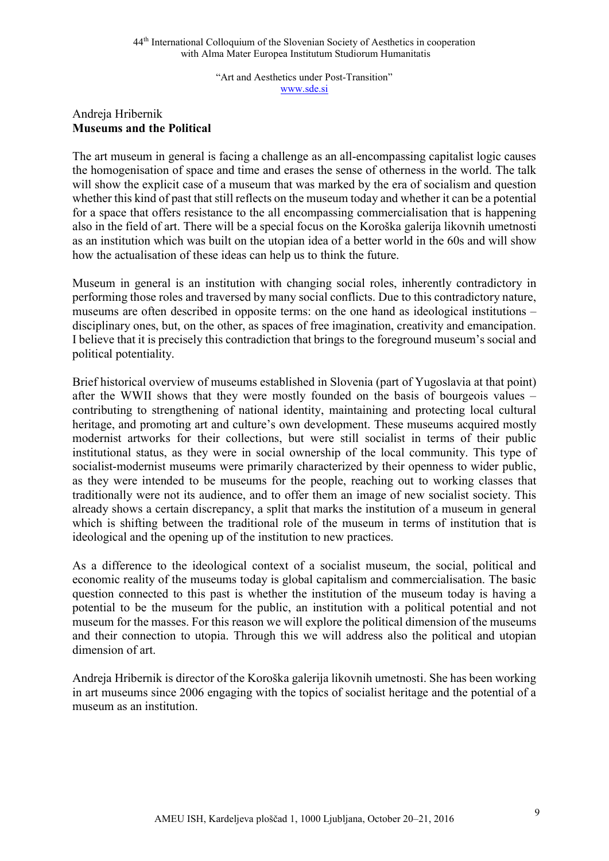#### Andreja Hribernik Museums and the Political

The art museum in general is facing a challenge as an all-encompassing capitalist logic causes the homogenisation of space and time and erases the sense of otherness in the world. The talk will show the explicit case of a museum that was marked by the era of socialism and question whether this kind of past that still reflects on the museum today and whether it can be a potential for a space that offers resistance to the all encompassing commercialisation that is happening also in the field of art. There will be a special focus on the Koroška galerija likovnih umetnosti as an institution which was built on the utopian idea of a better world in the 60s and will show how the actualisation of these ideas can help us to think the future.

Museum in general is an institution with changing social roles, inherently contradictory in performing those roles and traversed by many social conflicts. Due to this contradictory nature, museums are often described in opposite terms: on the one hand as ideological institutions – disciplinary ones, but, on the other, as spaces of free imagination, creativity and emancipation. I believe that it is precisely this contradiction that brings to the foreground museum's social and political potentiality.

Brief historical overview of museums established in Slovenia (part of Yugoslavia at that point) after the WWII shows that they were mostly founded on the basis of bourgeois values – contributing to strengthening of national identity, maintaining and protecting local cultural heritage, and promoting art and culture's own development. These museums acquired mostly modernist artworks for their collections, but were still socialist in terms of their public institutional status, as they were in social ownership of the local community. This type of socialist-modernist museums were primarily characterized by their openness to wider public, as they were intended to be museums for the people, reaching out to working classes that traditionally were not its audience, and to offer them an image of new socialist society. This already shows a certain discrepancy, a split that marks the institution of a museum in general which is shifting between the traditional role of the museum in terms of institution that is ideological and the opening up of the institution to new practices.

As a difference to the ideological context of a socialist museum, the social, political and economic reality of the museums today is global capitalism and commercialisation. The basic question connected to this past is whether the institution of the museum today is having a potential to be the museum for the public, an institution with a political potential and not museum for the masses. For this reason we will explore the political dimension of the museums and their connection to utopia. Through this we will address also the political and utopian dimension of art.

Andreja Hribernik is director of the Koroška galerija likovnih umetnosti. She has been working in art museums since 2006 engaging with the topics of socialist heritage and the potential of a museum as an institution.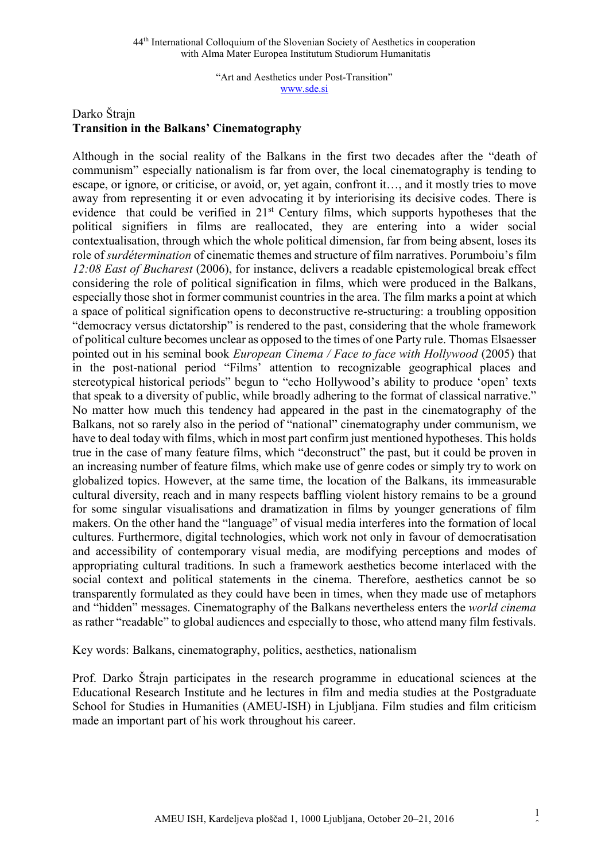## Darko Štrajn Transition in the Balkans' Cinematography

Although in the social reality of the Balkans in the first two decades after the "death of communism" especially nationalism is far from over, the local cinematography is tending to escape, or ignore, or criticise, or avoid, or, yet again, confront it…, and it mostly tries to move away from representing it or even advocating it by interiorising its decisive codes. There is evidence that could be verified in 21<sup>st</sup> Century films, which supports hypotheses that the political signifiers in films are reallocated, they are entering into a wider social contextualisation, through which the whole political dimension, far from being absent, loses its role of surdétermination of cinematic themes and structure of film narratives. Porumboiu's film 12:08 East of Bucharest (2006), for instance, delivers a readable epistemological break effect considering the role of political signification in films, which were produced in the Balkans, especially those shot in former communist countries in the area. The film marks a point at which a space of political signification opens to deconstructive re-structuring: a troubling opposition "democracy versus dictatorship" is rendered to the past, considering that the whole framework of political culture becomes unclear as opposed to the times of one Party rule. Thomas Elsaesser pointed out in his seminal book European Cinema / Face to face with Hollywood (2005) that in the post-national period "Films' attention to recognizable geographical places and stereotypical historical periods" begun to "echo Hollywood's ability to produce 'open' texts that speak to a diversity of public, while broadly adhering to the format of classical narrative." No matter how much this tendency had appeared in the past in the cinematography of the Balkans, not so rarely also in the period of "national" cinematography under communism, we have to deal today with films, which in most part confirm just mentioned hypotheses. This holds true in the case of many feature films, which "deconstruct" the past, but it could be proven in an increasing number of feature films, which make use of genre codes or simply try to work on globalized topics. However, at the same time, the location of the Balkans, its immeasurable cultural diversity, reach and in many respects baffling violent history remains to be a ground for some singular visualisations and dramatization in films by younger generations of film makers. On the other hand the "language" of visual media interferes into the formation of local cultures. Furthermore, digital technologies, which work not only in favour of democratisation and accessibility of contemporary visual media, are modifying perceptions and modes of appropriating cultural traditions. In such a framework aesthetics become interlaced with the social context and political statements in the cinema. Therefore, aesthetics cannot be so transparently formulated as they could have been in times, when they made use of metaphors and "hidden" messages. Cinematography of the Balkans nevertheless enters the world cinema as rather "readable" to global audiences and especially to those, who attend many film festivals.

Key words: Balkans, cinematography, politics, aesthetics, nationalism

Prof. Darko Štrajn participates in the research programme in educational sciences at the Educational Research Institute and he lectures in film and media studies at the Postgraduate School for Studies in Humanities (AMEU-ISH) in Ljubljana. Film studies and film criticism made an important part of his work throughout his career.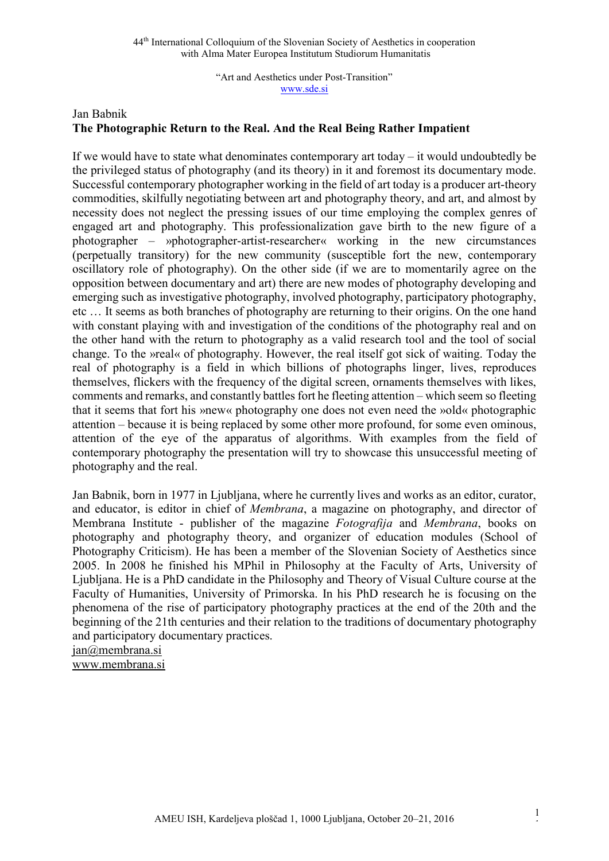# Jan Babnik The Photographic Return to the Real. And the Real Being Rather Impatient

If we would have to state what denominates contemporary art today – it would undoubtedly be the privileged status of photography (and its theory) in it and foremost its documentary mode. Successful contemporary photographer working in the field of art today is a producer art-theory commodities, skilfully negotiating between art and photography theory, and art, and almost by necessity does not neglect the pressing issues of our time employing the complex genres of engaged art and photography. This professionalization gave birth to the new figure of a photographer – »photographer-artist-researcher« working in the new circumstances (perpetually transitory) for the new community (susceptible fort the new, contemporary oscillatory role of photography). On the other side (if we are to momentarily agree on the opposition between documentary and art) there are new modes of photography developing and emerging such as investigative photography, involved photography, participatory photography, etc … It seems as both branches of photography are returning to their origins. On the one hand with constant playing with and investigation of the conditions of the photography real and on the other hand with the return to photography as a valid research tool and the tool of social change. To the »real« of photography. However, the real itself got sick of waiting. Today the real of photography is a field in which billions of photographs linger, lives, reproduces themselves, flickers with the frequency of the digital screen, ornaments themselves with likes, comments and remarks, and constantly battles fort he fleeting attention – which seem so fleeting that it seems that fort his »new« photography one does not even need the »old« photographic attention – because it is being replaced by some other more profound, for some even ominous, attention of the eye of the apparatus of algorithms. With examples from the field of contemporary photography the presentation will try to showcase this unsuccessful meeting of photography and the real.

Jan Babnik, born in 1977 in Ljubljana, where he currently lives and works as an editor, curator, and educator, is editor in chief of Membrana, a magazine on photography, and director of Membrana Institute - publisher of the magazine Fotografija and Membrana, books on photography and photography theory, and organizer of education modules (School of Photography Criticism). He has been a member of the Slovenian Society of Aesthetics since 2005. In 2008 he finished his MPhil in Philosophy at the Faculty of Arts, University of Ljubljana. He is a PhD candidate in the Philosophy and Theory of Visual Culture course at the Faculty of Humanities, University of Primorska. In his PhD research he is focusing on the phenomena of the rise of participatory photography practices at the end of the 20th and the beginning of the 21th centuries and their relation to the traditions of documentary photography and participatory documentary practices. jan@membrana.si

www.membrana.si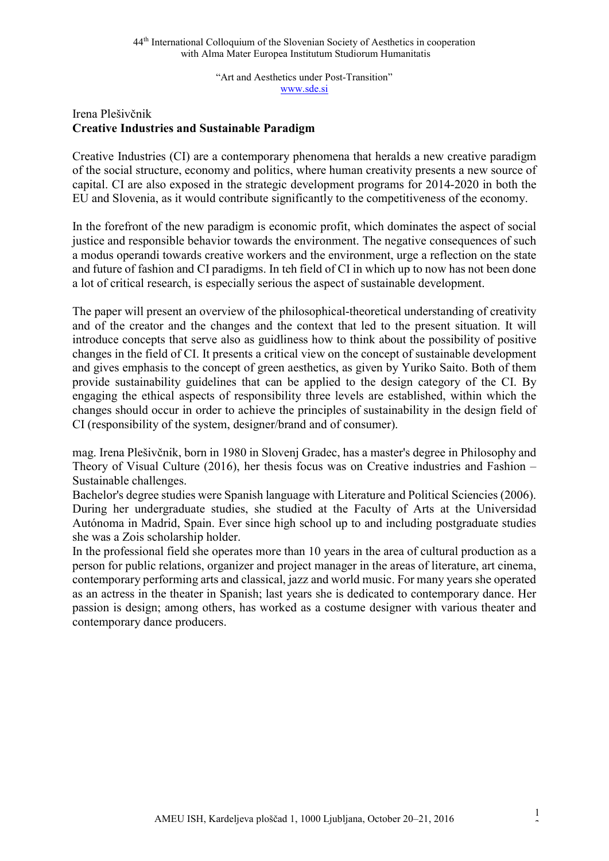#### Irena Plešivčnik Creative Industries and Sustainable Paradigm

Creative Industries (CI) are a contemporary phenomena that heralds a new creative paradigm of the social structure, economy and politics, where human creativity presents a new source of capital. CI are also exposed in the strategic development programs for 2014-2020 in both the EU and Slovenia, as it would contribute significantly to the competitiveness of the economy.

In the forefront of the new paradigm is economic profit, which dominates the aspect of social justice and responsible behavior towards the environment. The negative consequences of such a modus operandi towards creative workers and the environment, urge a reflection on the state and future of fashion and CI paradigms. In teh field of CI in which up to now has not been done a lot of critical research, is especially serious the aspect of sustainable development.

The paper will present an overview of the philosophical-theoretical understanding of creativity and of the creator and the changes and the context that led to the present situation. It will introduce concepts that serve also as guidliness how to think about the possibility of positive changes in the field of CI. It presents a critical view on the concept of sustainable development and gives emphasis to the concept of green aesthetics, as given by Yuriko Saito. Both of them provide sustainability guidelines that can be applied to the design category of the CI. By engaging the ethical aspects of responsibility three levels are established, within which the changes should occur in order to achieve the principles of sustainability in the design field of CI (responsibility of the system, designer/brand and of consumer).

mag. Irena Plešivčnik, born in 1980 in Slovenj Gradec, has a master's degree in Philosophy and Theory of Visual Culture (2016), her thesis focus was on Creative industries and Fashion – Sustainable challenges.

Bachelor's degree studies were Spanish language with Literature and Political Sciencies (2006). During her undergraduate studies, she studied at the Faculty of Arts at the Universidad Autónoma in Madrid, Spain. Ever since high school up to and including postgraduate studies she was a Zois scholarship holder.

In the professional field she operates more than 10 years in the area of cultural production as a person for public relations, organizer and project manager in the areas of literature, art cinema, contemporary performing arts and classical, jazz and world music. For many years she operated as an actress in the theater in Spanish; last years she is dedicated to contemporary dance. Her passion is design; among others, has worked as a costume designer with various theater and contemporary dance producers.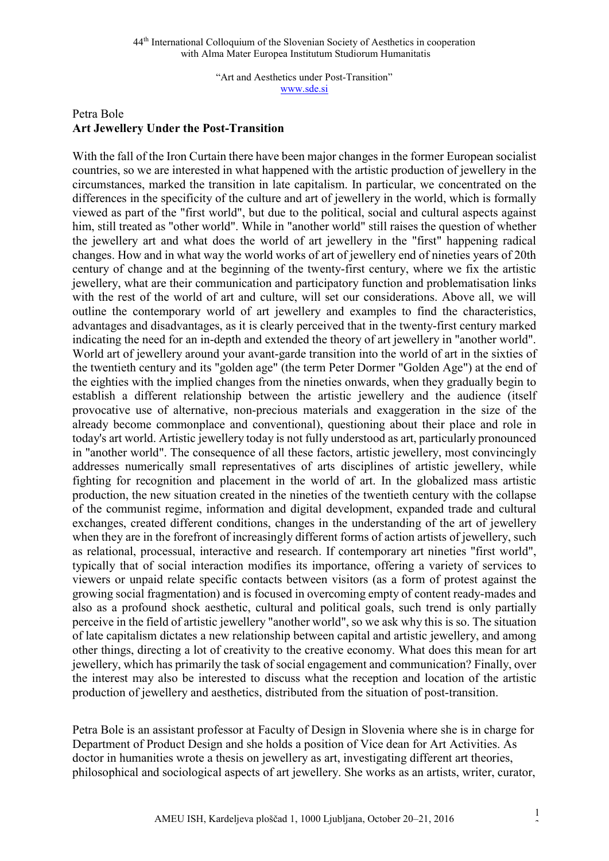### Petra Bole Art Jewellery Under the Post-Transition

With the fall of the Iron Curtain there have been major changes in the former European socialist countries, so we are interested in what happened with the artistic production of jewellery in the circumstances, marked the transition in late capitalism. In particular, we concentrated on the differences in the specificity of the culture and art of jewellery in the world, which is formally viewed as part of the "first world", but due to the political, social and cultural aspects against him, still treated as "other world". While in "another world" still raises the question of whether the jewellery art and what does the world of art jewellery in the "first" happening radical changes. How and in what way the world works of art of jewellery end of nineties years of 20th century of change and at the beginning of the twenty-first century, where we fix the artistic jewellery, what are their communication and participatory function and problematisation links with the rest of the world of art and culture, will set our considerations. Above all, we will outline the contemporary world of art jewellery and examples to find the characteristics, advantages and disadvantages, as it is clearly perceived that in the twenty-first century marked indicating the need for an in-depth and extended the theory of art jewellery in "another world". World art of jewellery around your avant-garde transition into the world of art in the sixties of the twentieth century and its "golden age" (the term Peter Dormer "Golden Age") at the end of the eighties with the implied changes from the nineties onwards, when they gradually begin to establish a different relationship between the artistic jewellery and the audience (itself provocative use of alternative, non-precious materials and exaggeration in the size of the already become commonplace and conventional), questioning about their place and role in today's art world. Artistic jewellery today is not fully understood as art, particularly pronounced in "another world". The consequence of all these factors, artistic jewellery, most convincingly addresses numerically small representatives of arts disciplines of artistic jewellery, while fighting for recognition and placement in the world of art. In the globalized mass artistic production, the new situation created in the nineties of the twentieth century with the collapse of the communist regime, information and digital development, expanded trade and cultural exchanges, created different conditions, changes in the understanding of the art of jewellery when they are in the forefront of increasingly different forms of action artists of jewellery, such as relational, processual, interactive and research. If contemporary art nineties "first world", typically that of social interaction modifies its importance, offering a variety of services to viewers or unpaid relate specific contacts between visitors (as a form of protest against the growing social fragmentation) and is focused in overcoming empty of content ready-mades and also as a profound shock aesthetic, cultural and political goals, such trend is only partially perceive in the field of artistic jewellery "another world", so we ask why this is so. The situation of late capitalism dictates a new relationship between capital and artistic jewellery, and among other things, directing a lot of creativity to the creative economy. What does this mean for art jewellery, which has primarily the task of social engagement and communication? Finally, over the interest may also be interested to discuss what the reception and location of the artistic production of jewellery and aesthetics, distributed from the situation of post-transition.

Petra Bole is an assistant professor at Faculty of Design in Slovenia where she is in charge for Department of Product Design and she holds a position of Vice dean for Art Activities. As doctor in humanities wrote a thesis on jewellery as art, investigating different art theories, philosophical and sociological aspects of art jewellery. She works as an artists, writer, curator,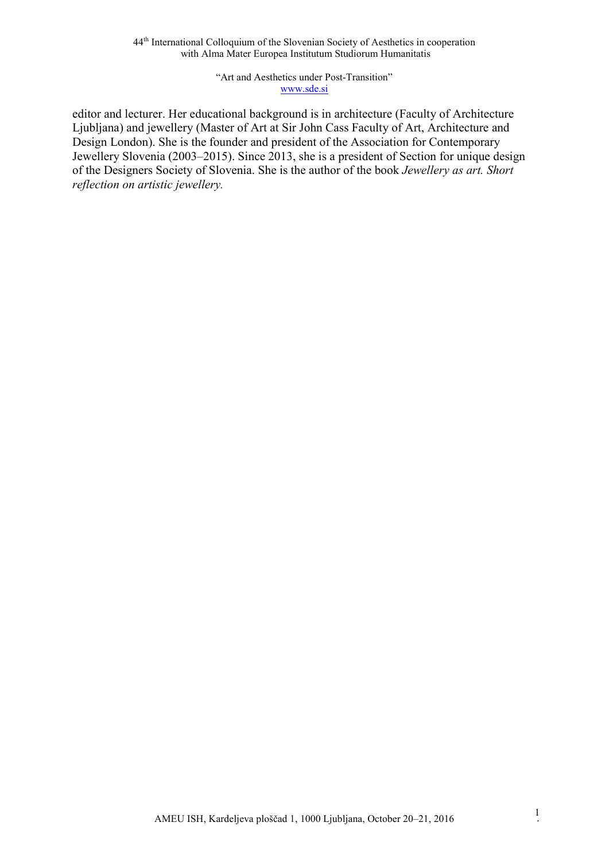editor and lecturer. Her educational background is in architecture (Faculty of Architecture Ljubljana) and jewellery (Master of Art at Sir John Cass Faculty of Art, Architecture and Design London). She is the founder and president of the Association for Contemporary Jewellery Slovenia (2003–2015). Since 2013, she is a president of Section for unique design of the Designers Society of Slovenia. She is the author of the book Jewellery as art. Short reflection on artistic jewellery.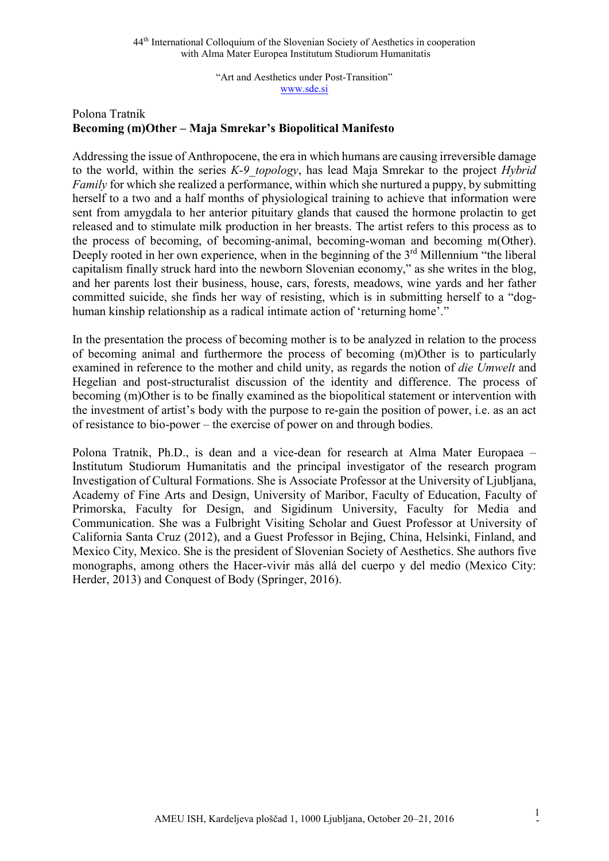#### Polona Tratnik Becoming (m)Other – Maja Smrekar's Biopolitical Manifesto

Addressing the issue of Anthropocene, the era in which humans are causing irreversible damage to the world, within the series  $K-9$  topology, has lead Maja Smrekar to the project Hybrid Family for which she realized a performance, within which she nurtured a puppy, by submitting herself to a two and a half months of physiological training to achieve that information were sent from amygdala to her anterior pituitary glands that caused the hormone prolactin to get released and to stimulate milk production in her breasts. The artist refers to this process as to the process of becoming, of becoming-animal, becoming-woman and becoming m(Other). Deeply rooted in her own experience, when in the beginning of the 3<sup>rd</sup> Millennium "the liberal capitalism finally struck hard into the newborn Slovenian economy," as she writes in the blog, and her parents lost their business, house, cars, forests, meadows, wine yards and her father committed suicide, she finds her way of resisting, which is in submitting herself to a "doghuman kinship relationship as a radical intimate action of 'returning home'."

In the presentation the process of becoming mother is to be analyzed in relation to the process of becoming animal and furthermore the process of becoming (m)Other is to particularly examined in reference to the mother and child unity, as regards the notion of die Umwelt and Hegelian and post-structuralist discussion of the identity and difference. The process of becoming (m)Other is to be finally examined as the biopolitical statement or intervention with the investment of artist's body with the purpose to re-gain the position of power, i.e. as an act of resistance to bio-power – the exercise of power on and through bodies.

Polona Tratnik, Ph.D., is dean and a vice-dean for research at Alma Mater Europaea – Institutum Studiorum Humanitatis and the principal investigator of the research program Investigation of Cultural Formations. She is Associate Professor at the University of Ljubljana, Academy of Fine Arts and Design, University of Maribor, Faculty of Education, Faculty of Primorska, Faculty for Design, and Sigidinum University, Faculty for Media and Communication. She was a Fulbright Visiting Scholar and Guest Professor at University of California Santa Cruz (2012), and a Guest Professor in Bejing, China, Helsinki, Finland, and Mexico City, Mexico. She is the president of Slovenian Society of Aesthetics. She authors five monographs, among others the Hacer-vivir más allá del cuerpo y del medio (Mexico City: Herder, 2013) and Conquest of Body (Springer, 2016).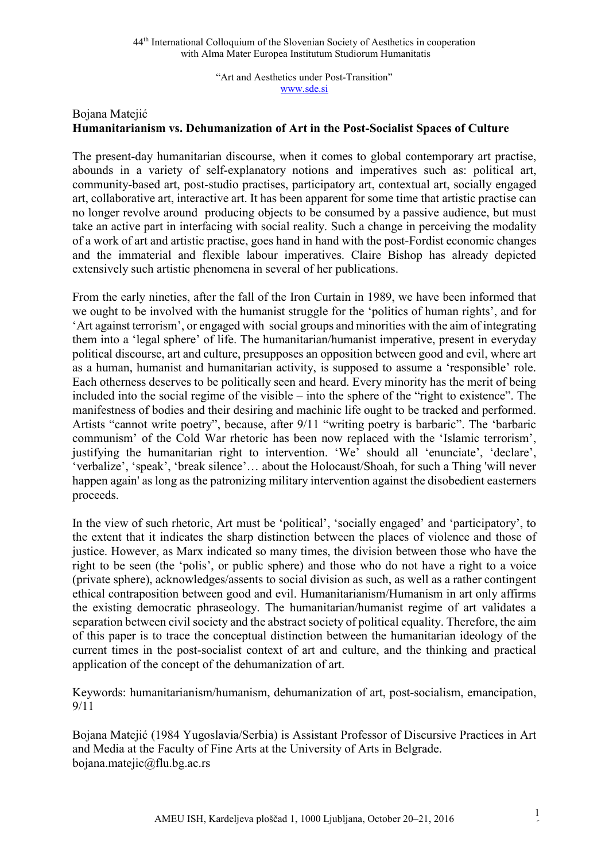## Bojana Matejić Humanitarianism vs. Dehumanization of Art in the Post-Socialist Spaces of Culture

The present-day humanitarian discourse, when it comes to global contemporary art practise, abounds in a variety of self-explanatory notions and imperatives such as: political art, community-based art, post-studio practises, participatory art, contextual art, socially engaged art, collaborative art, interactive art. It has been apparent for some time that artistic practise can no longer revolve around producing objects to be consumed by a passive audience, but must take an active part in interfacing with social reality. Such a change in perceiving the modality of a work of art and artistic practise, goes hand in hand with the post-Fordist economic changes and the immaterial and flexible labour imperatives. Claire Bishop has already depicted extensively such artistic phenomena in several of her publications.

From the early nineties, after the fall of the Iron Curtain in 1989, we have been informed that we ought to be involved with the humanist struggle for the 'politics of human rights', and for 'Art against terrorism', or engaged with social groups and minorities with the aim of integrating them into a 'legal sphere' of life. The humanitarian/humanist imperative, present in everyday political discourse, art and culture, presupposes an opposition between good and evil, where art as a human, humanist and humanitarian activity, is supposed to assume a 'responsible' role. Each otherness deserves to be politically seen and heard. Every minority has the merit of being included into the social regime of the visible – into the sphere of the "right to existence". The manifestness of bodies and their desiring and machinic life ought to be tracked and performed. Artists "cannot write poetry", because, after 9/11 "writing poetry is barbaric". The 'barbaric communism' of the Cold War rhetoric has been now replaced with the 'Islamic terrorism', justifying the humanitarian right to intervention. 'We' should all 'enunciate', 'declare', 'verbalize', 'speak', 'break silence'… about the Holocaust/Shoah, for such a Thing 'will never happen again' as long as the patronizing military intervention against the disobedient easterners proceeds.

In the view of such rhetoric, Art must be 'political', 'socially engaged' and 'participatory', to the extent that it indicates the sharp distinction between the places of violence and those of justice. However, as Marx indicated so many times, the division between those who have the right to be seen (the 'polis', or public sphere) and those who do not have a right to a voice (private sphere), acknowledges/assents to social division as such, as well as a rather contingent ethical contraposition between good and evil. Humanitarianism/Humanism in art only affirms the existing democratic phraseology. The humanitarian/humanist regime of art validates a separation between civil society and the abstract society of political equality. Therefore, the aim of this paper is to trace the conceptual distinction between the humanitarian ideology of the current times in the post-socialist context of art and culture, and the thinking and practical application of the concept of the dehumanization of art.

Keywords: humanitarianism/humanism, dehumanization of art, post-socialism, emancipation, 9/11

Bojana Matejić (1984 Yugoslavia/Serbia) is Assistant Professor of Discursive Practices in Art and Media at the Faculty of Fine Arts at the University of Arts in Belgrade. bojana.matejic@flu.bg.ac.rs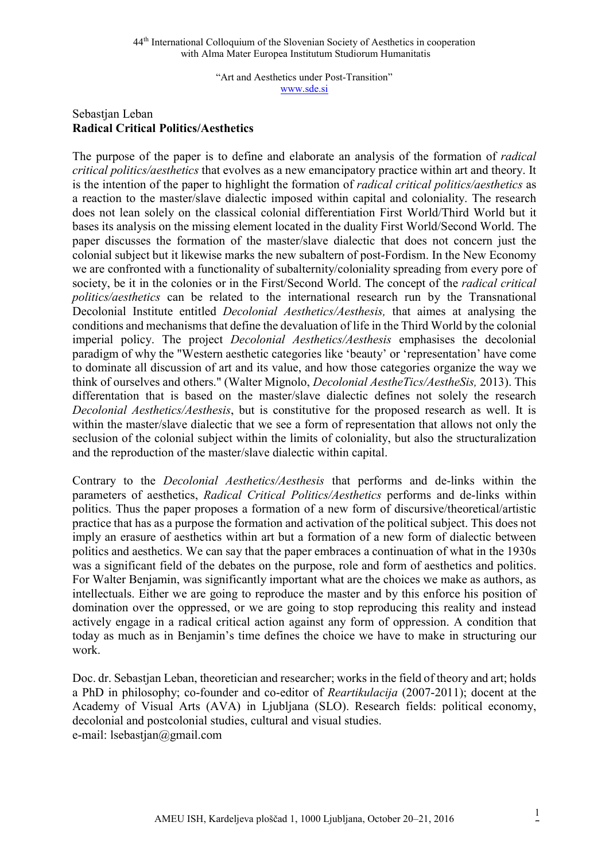#### Sebastjan Leban Radical Critical Politics/Aesthetics

The purpose of the paper is to define and elaborate an analysis of the formation of *radical* critical politics/aesthetics that evolves as a new emancipatory practice within art and theory. It is the intention of the paper to highlight the formation of radical critical politics/aesthetics as a reaction to the master/slave dialectic imposed within capital and coloniality. The research does not lean solely on the classical colonial differentiation First World/Third World but it bases its analysis on the missing element located in the duality First World/Second World. The paper discusses the formation of the master/slave dialectic that does not concern just the colonial subject but it likewise marks the new subaltern of post-Fordism. In the New Economy we are confronted with a functionality of subalternity/coloniality spreading from every pore of society, be it in the colonies or in the First/Second World. The concept of the *radical critical* politics/aesthetics can be related to the international research run by the Transnational Decolonial Institute entitled Decolonial Aesthetics/Aesthesis, that aimes at analysing the conditions and mechanisms that define the devaluation of life in the Third World by the colonial imperial policy. The project Decolonial Aesthetics/Aesthesis emphasises the decolonial paradigm of why the "Western aesthetic categories like 'beauty' or 'representation' have come to dominate all discussion of art and its value, and how those categories organize the way we think of ourselves and others." (Walter Mignolo, Decolonial AestheTics/AestheSis, 2013). This differentation that is based on the master/slave dialectic defines not solely the research Decolonial Aesthetics/Aesthesis, but is constitutive for the proposed research as well. It is within the master/slave dialectic that we see a form of representation that allows not only the seclusion of the colonial subject within the limits of coloniality, but also the structuralization and the reproduction of the master/slave dialectic within capital.

Contrary to the Decolonial Aesthetics/Aesthesis that performs and de-links within the parameters of aesthetics, Radical Critical Politics/Aesthetics performs and de-links within politics. Thus the paper proposes a formation of a new form of discursive/theoretical/artistic practice that has as a purpose the formation and activation of the political subject. This does not imply an erasure of aesthetics within art but a formation of a new form of dialectic between politics and aesthetics. We can say that the paper embraces a continuation of what in the 1930s was a significant field of the debates on the purpose, role and form of aesthetics and politics. For Walter Benjamin, was significantly important what are the choices we make as authors, as intellectuals. Either we are going to reproduce the master and by this enforce his position of domination over the oppressed, or we are going to stop reproducing this reality and instead actively engage in a radical critical action against any form of oppression. A condition that today as much as in Benjamin's time defines the choice we have to make in structuring our work.

Doc. dr. Sebastjan Leban, theoretician and researcher; works in the field of theory and art; holds a PhD in philosophy; co-founder and co-editor of Reartikulacija (2007-2011); docent at the Academy of Visual Arts (AVA) in Ljubljana (SLO). Research fields: political economy, decolonial and postcolonial studies, cultural and visual studies. e-mail: lsebastjan@gmail.com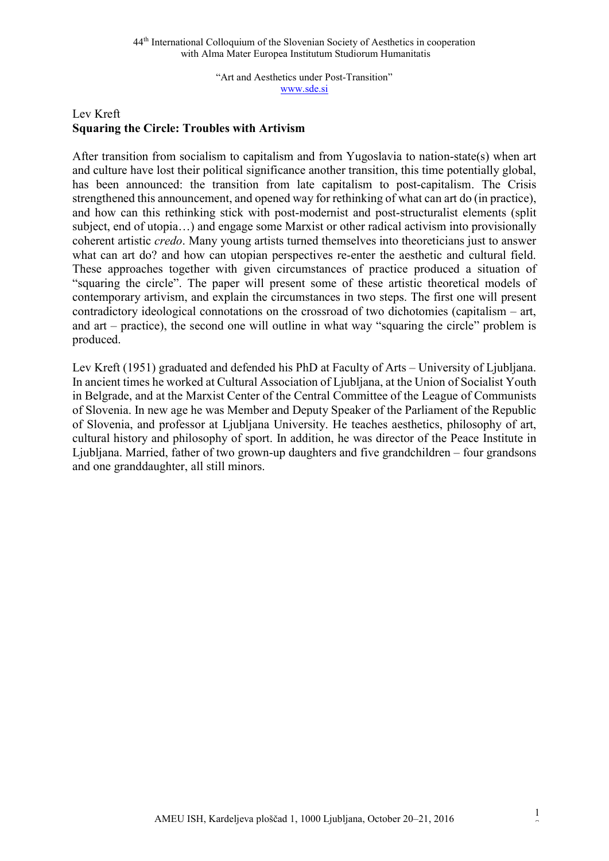## Lev Kreft Squaring the Circle: Troubles with Artivism

After transition from socialism to capitalism and from Yugoslavia to nation-state(s) when art and culture have lost their political significance another transition, this time potentially global, has been announced: the transition from late capitalism to post-capitalism. The Crisis strengthened this announcement, and opened way for rethinking of what can art do (in practice), and how can this rethinking stick with post-modernist and post-structuralist elements (split subject, end of utopia…) and engage some Marxist or other radical activism into provisionally coherent artistic credo. Many young artists turned themselves into theoreticians just to answer what can art do? and how can utopian perspectives re-enter the aesthetic and cultural field. These approaches together with given circumstances of practice produced a situation of "squaring the circle". The paper will present some of these artistic theoretical models of contemporary artivism, and explain the circumstances in two steps. The first one will present contradictory ideological connotations on the crossroad of two dichotomies (capitalism – art, and art – practice), the second one will outline in what way "squaring the circle" problem is produced.

Lev Kreft (1951) graduated and defended his PhD at Faculty of Arts – University of Ljubljana. In ancient times he worked at Cultural Association of Ljubljana, at the Union of Socialist Youth in Belgrade, and at the Marxist Center of the Central Committee of the League of Communists of Slovenia. In new age he was Member and Deputy Speaker of the Parliament of the Republic of Slovenia, and professor at Ljubljana University. He teaches aesthetics, philosophy of art, cultural history and philosophy of sport. In addition, he was director of the Peace Institute in Ljubljana. Married, father of two grown-up daughters and five grandchildren – four grandsons and one granddaughter, all still minors.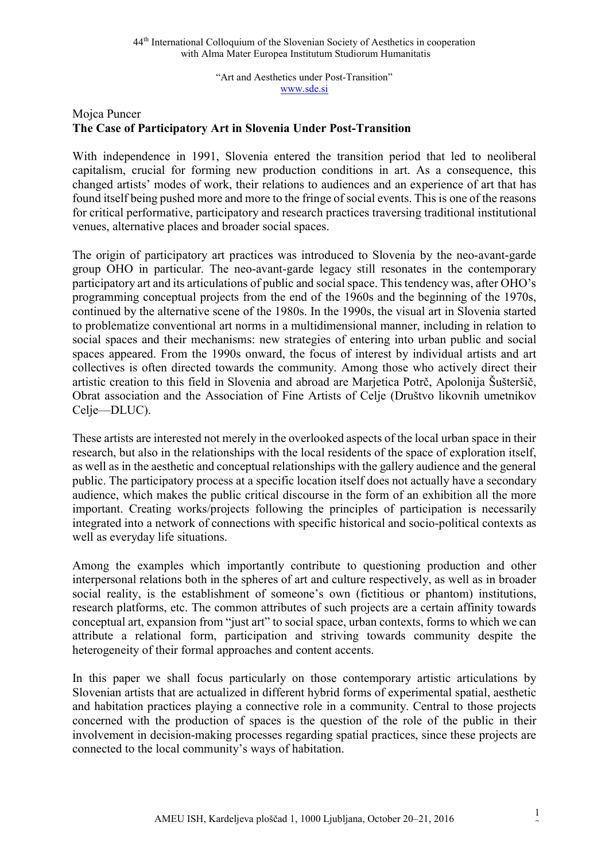### Mojca Puncer The Case of Participatory Art in Slovenia Under Post-Transition

With independence in 1991, Slovenia entered the transition period that led to neoliberal capitalism, crucial for forming new production conditions in art. As a consequence, this changed artists' modes of work, their relations to audiences and an experience of art that has found itself being pushed more and more to the fringe of social events. This is one of the reasons for critical performative, participatory and research practices traversing traditional institutional venues, alternative places and broader social spaces.

The origin of participatory art practices was introduced to Slovenia by the neo-avant-garde group OHO in particular. The neo-avant-garde legacy still resonates in the contemporary participatory art and its articulations of public and social space. This tendency was, after OHO's programming conceptual projects from the end of the 1960s and the beginning of the 1970s, continued by the alternative scene of the 1980s. In the 1990s, the visual art in Slovenia started to problematize conventional art norms in a multidimensional manner, including in relation to social spaces and their mechanisms: new strategies of entering into urban public and social spaces appeared. From the 1990s onward, the focus of interest by individual artists and art collectives is often directed towards the community. Among those who actively direct their artistic creation to this field in Slovenia and abroad are Marjetica Potrč, Apolonija Šušteršič, Obrat association and the Association of Fine Artists of Celje (Društvo likovnih umetnikov Celje—DLUC).

These artists are interested not merely in the overlooked aspects of the local urban space in their research, but also in the relationships with the local residents of the space of exploration itself, as well as in the aesthetic and conceptual relationships with the gallery audience and the general public. The participatory process at a specific location itself does not actually have a secondary audience, which makes the public critical discourse in the form of an exhibition all the more important. Creating works/projects following the principles of participation is necessarily integrated into a network of connections with specific historical and socio-political contexts as well as everyday life situations.

Among the examples which importantly contribute to questioning production and other interpersonal relations both in the spheres of art and culture respectively, as well as in broader social reality, is the establishment of someone's own (fictitious or phantom) institutions, research platforms, etc. The common attributes of such projects are a certain affinity towards conceptual art, expansion from "just art" to social space, urban contexts, forms to which we can attribute a relational form, participation and striving towards community despite the heterogeneity of their formal approaches and content accents.

In this paper we shall focus particularly on those contemporary artistic articulations by Slovenian artists that are actualized in different hybrid forms of experimental spatial, aesthetic and habitation practices playing a connective role in a community. Central to those projects concerned with the production of spaces is the question of the role of the public in their involvement in decision-making processes regarding spatial practices, since these projects are connected to the local community's ways of habitation.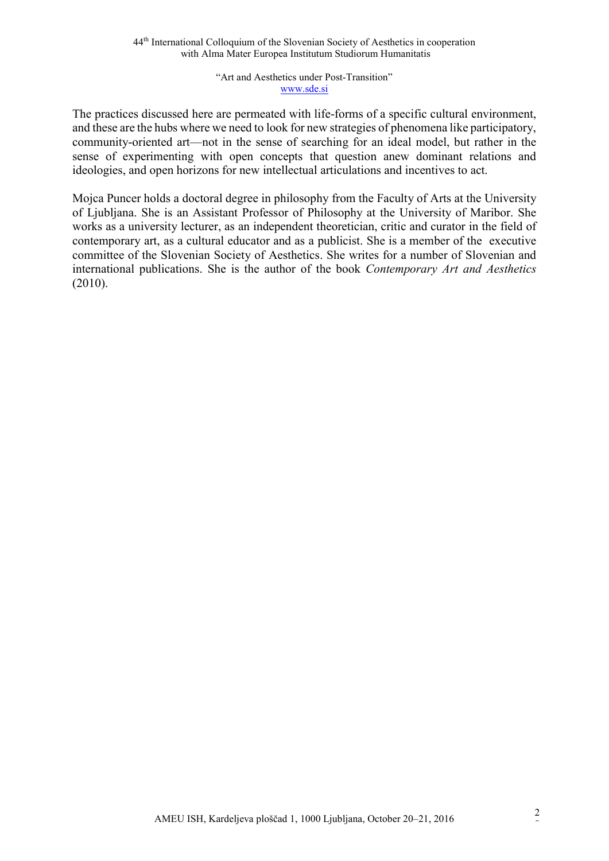The practices discussed here are permeated with life-forms of a specific cultural environment, and these are the hubs where we need to look for new strategies of phenomena like participatory, community-oriented art—not in the sense of searching for an ideal model, but rather in the sense of experimenting with open concepts that question anew dominant relations and ideologies, and open horizons for new intellectual articulations and incentives to act.

Mojca Puncer holds a doctoral degree in philosophy from the Faculty of Arts at the University of Ljubljana. She is an Assistant Professor of Philosophy at the University of Maribor. She works as a university lecturer, as an independent theoretician, critic and curator in the field of contemporary art, as a cultural educator and as a publicist. She is a member of the executive committee of the Slovenian Society of Aesthetics. She writes for a number of Slovenian and international publications. She is the author of the book Contemporary Art and Aesthetics (2010).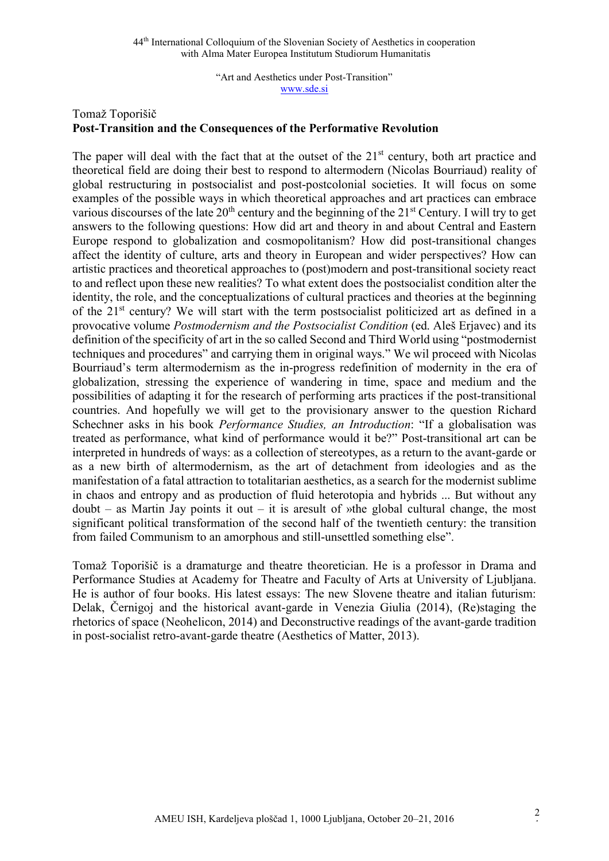# Tomaž Toporišič Post-Transition and the Consequences of the Performative Revolution

The paper will deal with the fact that at the outset of the  $21<sup>st</sup>$  century, both art practice and theoretical field are doing their best to respond to altermodern (Nicolas Bourriaud) reality of global restructuring in postsocialist and post-postcolonial societies. It will focus on some examples of the possible ways in which theoretical approaches and art practices can embrace various discourses of the late 20<sup>th</sup> century and the beginning of the 21<sup>st</sup> Century. I will try to get answers to the following questions: How did art and theory in and about Central and Eastern Europe respond to globalization and cosmopolitanism? How did post-transitional changes affect the identity of culture, arts and theory in European and wider perspectives? How can artistic practices and theoretical approaches to (post)modern and post-transitional society react to and reflect upon these new realities? To what extent does the postsocialist condition alter the identity, the role, and the conceptualizations of cultural practices and theories at the beginning of the 21st century? We will start with the term postsocialist politicized art as defined in a provocative volume Postmodernism and the Postsocialist Condition (ed. Aleš Erjavec) and its definition of the specificity of art in the so called Second and Third World using "postmodernist techniques and procedures" and carrying them in original ways." We wil proceed with Nicolas Bourriaud's term altermodernism as the in-progress redefinition of modernity in the era of globalization, stressing the experience of wandering in time, space and medium and the possibilities of adapting it for the research of performing arts practices if the post-transitional countries. And hopefully we will get to the provisionary answer to the question Richard Schechner asks in his book *Performance Studies, an Introduction*: "If a globalisation was treated as performance, what kind of performance would it be?" Post-transitional art can be interpreted in hundreds of ways: as a collection of stereotypes, as a return to the avant-garde or as a new birth of altermodernism, as the art of detachment from ideologies and as the manifestation of a fatal attraction to totalitarian aesthetics, as a search for the modernist sublime in chaos and entropy and as production of fluid heterotopia and hybrids ... But without any doubt – as Martin Jay points it out – it is are sult of  $\varepsilon$  when global cultural change, the most significant political transformation of the second half of the twentieth century: the transition from failed Communism to an amorphous and still-unsettled something else".

Tomaž Toporišič is a dramaturge and theatre theoretician. He is a professor in Drama and Performance Studies at Academy for Theatre and Faculty of Arts at University of Ljubljana. He is author of four books. His latest essays: The new Slovene theatre and italian futurism: Delak, Černigoj and the historical avant-garde in Venezia Giulia (2014), (Re)staging the rhetorics of space (Neohelicon, 2014) and Deconstructive readings of the avant-garde tradition in post-socialist retro-avant-garde theatre (Aesthetics of Matter, 2013).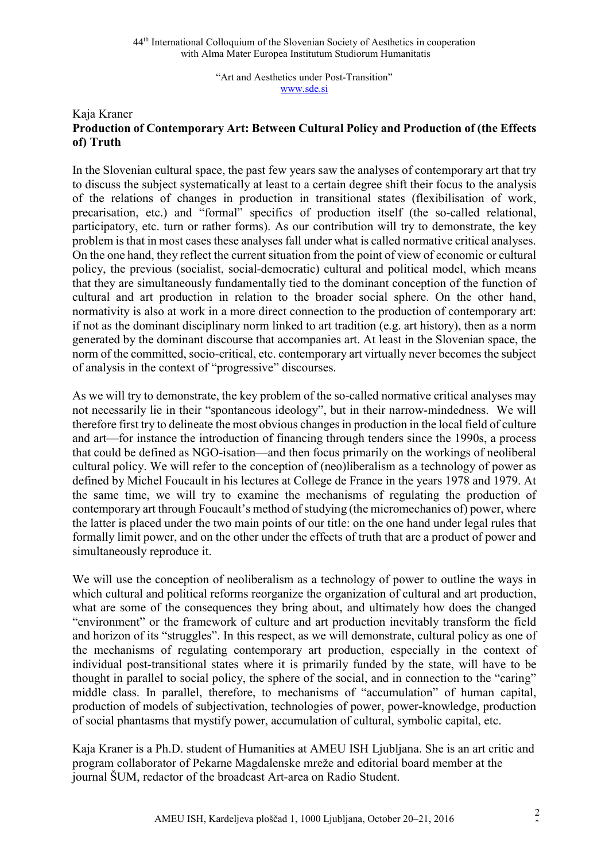# Kaja Kraner Production of Contemporary Art: Between Cultural Policy and Production of (the Effects of) Truth

In the Slovenian cultural space, the past few years saw the analyses of contemporary art that try to discuss the subject systematically at least to a certain degree shift their focus to the analysis of the relations of changes in production in transitional states (flexibilisation of work, precarisation, etc.) and "formal" specifics of production itself (the so-called relational, participatory, etc. turn or rather forms). As our contribution will try to demonstrate, the key problem is that in most cases these analyses fall under what is called normative critical analyses. On the one hand, they reflect the current situation from the point of view of economic or cultural policy, the previous (socialist, social-democratic) cultural and political model, which means that they are simultaneously fundamentally tied to the dominant conception of the function of cultural and art production in relation to the broader social sphere. On the other hand, normativity is also at work in a more direct connection to the production of contemporary art: if not as the dominant disciplinary norm linked to art tradition (e.g. art history), then as a norm generated by the dominant discourse that accompanies art. At least in the Slovenian space, the norm of the committed, socio-critical, etc. contemporary art virtually never becomes the subject of analysis in the context of "progressive" discourses.

As we will try to demonstrate, the key problem of the so-called normative critical analyses may not necessarily lie in their "spontaneous ideology", but in their narrow-mindedness. We will therefore first try to delineate the most obvious changes in production in the local field of culture and art—for instance the introduction of financing through tenders since the 1990s, a process that could be defined as NGO-isation—and then focus primarily on the workings of neoliberal cultural policy. We will refer to the conception of (neo)liberalism as a technology of power as defined by Michel Foucault in his lectures at College de France in the years 1978 and 1979. At the same time, we will try to examine the mechanisms of regulating the production of contemporary art through Foucault's method of studying (the micromechanics of) power, where the latter is placed under the two main points of our title: on the one hand under legal rules that formally limit power, and on the other under the effects of truth that are a product of power and simultaneously reproduce it.

We will use the conception of neoliberalism as a technology of power to outline the ways in which cultural and political reforms reorganize the organization of cultural and art production, what are some of the consequences they bring about, and ultimately how does the changed "environment" or the framework of culture and art production inevitably transform the field and horizon of its "struggles". In this respect, as we will demonstrate, cultural policy as one of the mechanisms of regulating contemporary art production, especially in the context of individual post-transitional states where it is primarily funded by the state, will have to be thought in parallel to social policy, the sphere of the social, and in connection to the "caring" middle class. In parallel, therefore, to mechanisms of "accumulation" of human capital, production of models of subjectivation, technologies of power, power-knowledge, production of social phantasms that mystify power, accumulation of cultural, symbolic capital, etc.

Kaja Kraner is a Ph.D. student of Humanities at AMEU ISH Ljubljana. She is an art critic and program collaborator of Pekarne Magdalenske mreže and editorial board member at the journal ŠUM, redactor of the broadcast Art-area on Radio Student.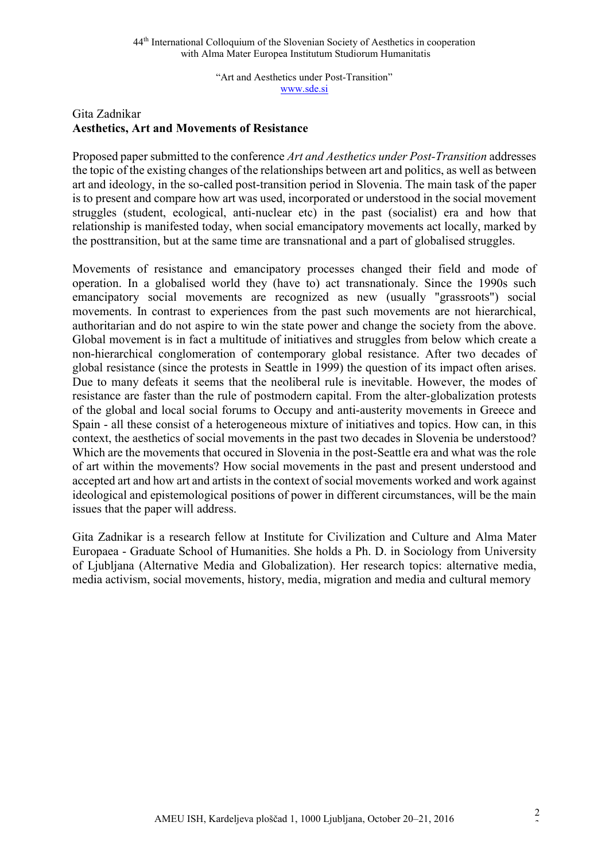### Gita Zadnikar Aesthetics, Art and Movements of Resistance

Proposed paper submitted to the conference Art and Aesthetics under Post-Transition addresses the topic of the existing changes of the relationships between art and politics, as well as between art and ideology, in the so-called post-transition period in Slovenia. The main task of the paper is to present and compare how art was used, incorporated or understood in the social movement struggles (student, ecological, anti-nuclear etc) in the past (socialist) era and how that relationship is manifested today, when social emancipatory movements act locally, marked by the posttransition, but at the same time are transnational and a part of globalised struggles.

Movements of resistance and emancipatory processes changed their field and mode of operation. In a globalised world they (have to) act transnationaly. Since the 1990s such emancipatory social movements are recognized as new (usually "grassroots") social movements. In contrast to experiences from the past such movements are not hierarchical, authoritarian and do not aspire to win the state power and change the society from the above. Global movement is in fact a multitude of initiatives and struggles from below which create a non-hierarchical conglomeration of contemporary global resistance. After two decades of global resistance (since the protests in Seattle in 1999) the question of its impact often arises. Due to many defeats it seems that the neoliberal rule is inevitable. However, the modes of resistance are faster than the rule of postmodern capital. From the alter-globalization protests of the global and local social forums to Occupy and anti-austerity movements in Greece and Spain - all these consist of a heterogeneous mixture of initiatives and topics. How can, in this context, the aesthetics of social movements in the past two decades in Slovenia be understood? Which are the movements that occured in Slovenia in the post-Seattle era and what was the role of art within the movements? How social movements in the past and present understood and accepted art and how art and artists in the context of social movements worked and work against ideological and epistemological positions of power in different circumstances, will be the main issues that the paper will address.

Gita Zadnikar is a research fellow at Institute for Civilization and Culture and Alma Mater Europaea - Graduate School of Humanities. She holds a Ph. D. in Sociology from University of Ljubljana (Alternative Media and Globalization). Her research topics: alternative media, media activism, social movements, history, media, migration and media and cultural memory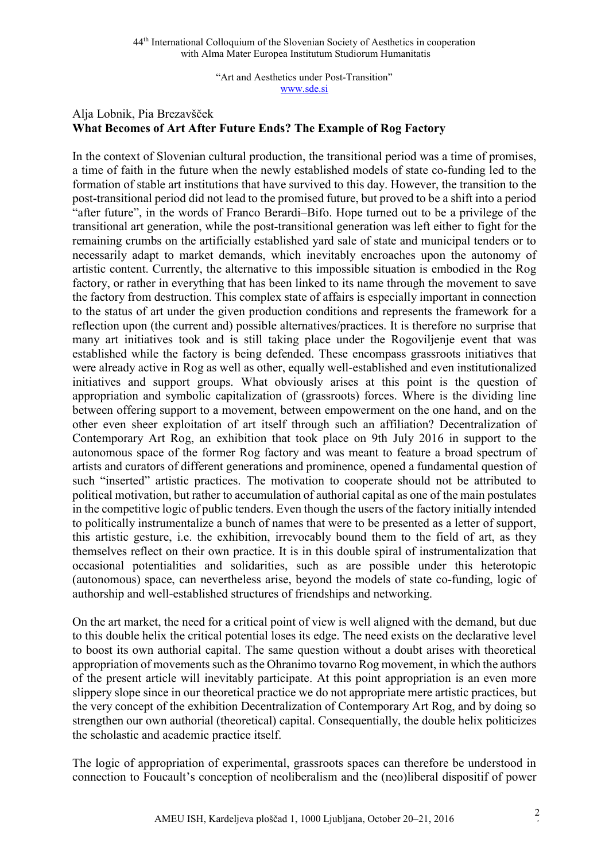## Alja Lobnik, Pia Brezavšček What Becomes of Art After Future Ends? The Example of Rog Factory

In the context of Slovenian cultural production, the transitional period was a time of promises, a time of faith in the future when the newly established models of state co-funding led to the formation of stable art institutions that have survived to this day. However, the transition to the post-transitional period did not lead to the promised future, but proved to be a shift into a period "after future", in the words of Franco Berardi–Bifo. Hope turned out to be a privilege of the transitional art generation, while the post-transitional generation was left either to fight for the remaining crumbs on the artificially established yard sale of state and municipal tenders or to necessarily adapt to market demands, which inevitably encroaches upon the autonomy of artistic content. Currently, the alternative to this impossible situation is embodied in the Rog factory, or rather in everything that has been linked to its name through the movement to save the factory from destruction. This complex state of affairs is especially important in connection to the status of art under the given production conditions and represents the framework for a reflection upon (the current and) possible alternatives/practices. It is therefore no surprise that many art initiatives took and is still taking place under the Rogoviljenje event that was established while the factory is being defended. These encompass grassroots initiatives that were already active in Rog as well as other, equally well-established and even institutionalized initiatives and support groups. What obviously arises at this point is the question of appropriation and symbolic capitalization of (grassroots) forces. Where is the dividing line between offering support to a movement, between empowerment on the one hand, and on the other even sheer exploitation of art itself through such an affiliation? Decentralization of Contemporary Art Rog, an exhibition that took place on 9th July 2016 in support to the autonomous space of the former Rog factory and was meant to feature a broad spectrum of artists and curators of different generations and prominence, opened a fundamental question of such "inserted" artistic practices. The motivation to cooperate should not be attributed to political motivation, but rather to accumulation of authorial capital as one of the main postulates in the competitive logic of public tenders. Even though the users of the factory initially intended to politically instrumentalize a bunch of names that were to be presented as a letter of support, this artistic gesture, i.e. the exhibition, irrevocably bound them to the field of art, as they themselves reflect on their own practice. It is in this double spiral of instrumentalization that occasional potentialities and solidarities, such as are possible under this heterotopic (autonomous) space, can nevertheless arise, beyond the models of state co-funding, logic of authorship and well-established structures of friendships and networking.

On the art market, the need for a critical point of view is well aligned with the demand, but due to this double helix the critical potential loses its edge. The need exists on the declarative level to boost its own authorial capital. The same question without a doubt arises with theoretical appropriation of movements such as the Ohranimo tovarno Rog movement, in which the authors of the present article will inevitably participate. At this point appropriation is an even more slippery slope since in our theoretical practice we do not appropriate mere artistic practices, but the very concept of the exhibition Decentralization of Contemporary Art Rog, and by doing so strengthen our own authorial (theoretical) capital. Consequentially, the double helix politicizes the scholastic and academic practice itself.

The logic of appropriation of experimental, grassroots spaces can therefore be understood in connection to Foucault's conception of neoliberalism and the (neo)liberal dispositif of power